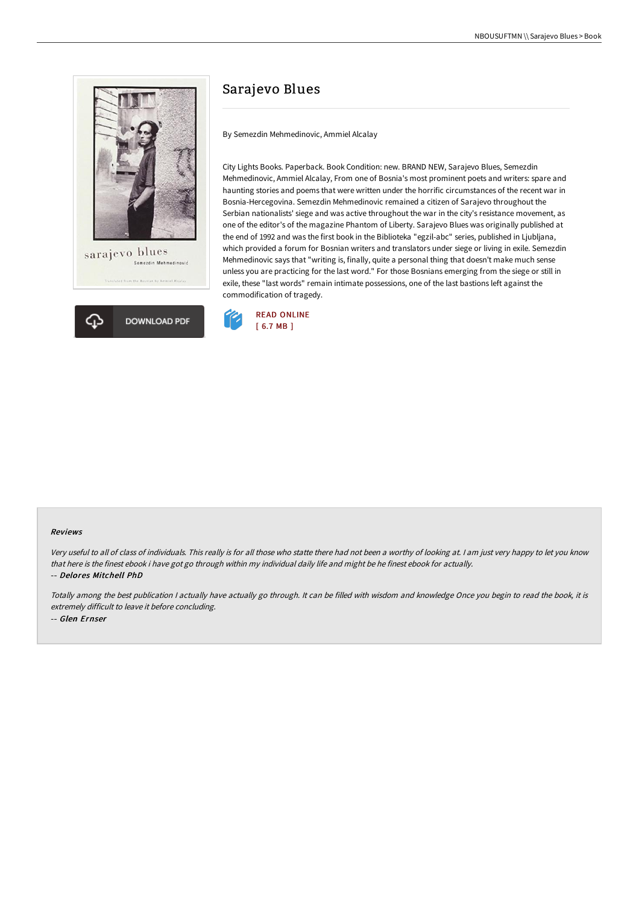



# Sarajevo Blues

By Semezdin Mehmedinovic, Ammiel Alcalay

City Lights Books. Paperback. Book Condition: new. BRAND NEW, Sarajevo Blues, Semezdin Mehmedinovic, Ammiel Alcalay, From one of Bosnia's most prominent poets and writers: spare and haunting stories and poems that were written under the horrific circumstances of the recent war in Bosnia-Hercegovina. Semezdin Mehmedinovic remained a citizen of Sarajevo throughout the Serbian nationalists' siege and was active throughout the war in the city's resistance movement, as one of the editor's of the magazine Phantom of Liberty. Sarajevo Blues was originally published at the end of 1992 and was the first book in the Biblioteka "egzil-abc" series, published in Ljubljana, which provided a forum for Bosnian writers and translators under siege or living in exile. Semezdin Mehmedinovic says that "writing is, finally, quite a personal thing that doesn't make much sense unless you are practicing for the last word." For those Bosnians emerging from the siege or still in exile, these "last words" remain intimate possessions, one of the last bastions left against the commodification of tragedy.



#### Reviews

Very useful to all of class of individuals. This really is for all those who statte there had not been <sup>a</sup> worthy of looking at. <sup>I</sup> am just very happy to let you know that here is the finest ebook i have got go through within my individual daily life and might be he finest ebook for actually. -- Delores Mitchell PhD

Totally among the best publication <sup>I</sup> actually have actually go through. It can be filled with wisdom and knowledge Once you begin to read the book, it is extremely difficult to leave it before concluding. -- Glen Ernser